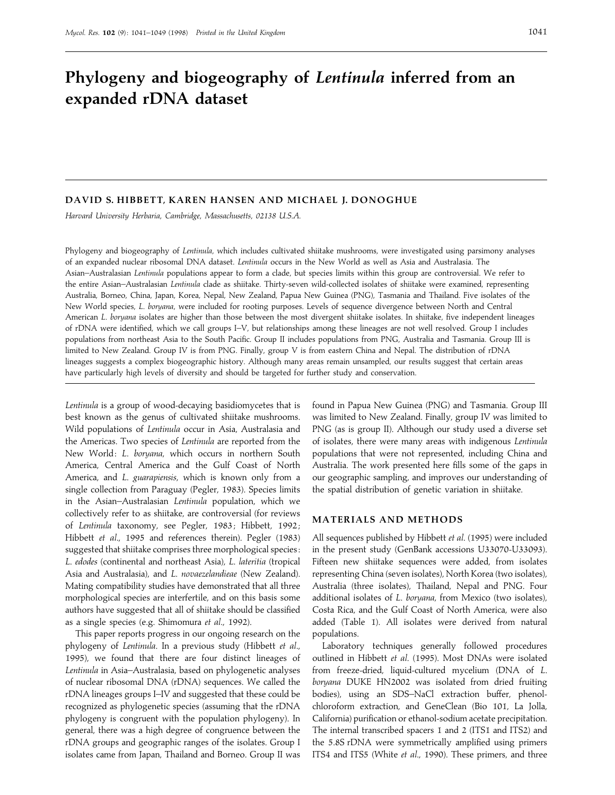# **Phylogeny and biogeography of** *Lentinula* **inferred from an expanded rDNA dataset**

# **DAVID S. HIBBETT, KAREN HANSEN AND MICHAEL J. DONOGHUE**

*Harvard University Herbaria*, *Cambridge*, *Massachusetts*, *02138 U*.*S*.*A*.

Phylogeny and biogeography of *Lentinula*, which includes cultivated shiitake mushrooms, were investigated using parsimony analyses of an expanded nuclear ribosomal DNA dataset. *Lentinula* occurs in the New World as well as Asia and Australasia. The Asian–Australasian *Lentinula* populations appear to form a clade, but species limits within this group are controversial. We refer to the entire Asian–Australasian *Lentinula* clade as shiitake. Thirty-seven wild-collected isolates of shiitake were examined, representing Australia, Borneo, China, Japan, Korea, Nepal, New Zealand, Papua New Guinea (PNG), Tasmania and Thailand. Five isolates of the New World species, *L*. *boryana*, were included for rooting purposes. Levels of sequence divergence between North and Central American *L*. *boryana* isolates are higher than those between the most divergent shiitake isolates. In shiitake, five independent lineages of rDNA were identified, which we call groups I–V, but relationships among these lineages are not well resolved. Group I includes populations from northeast Asia to the South Pacific. Group II includes populations from PNG, Australia and Tasmania. Group III is limited to New Zealand. Group IV is from PNG. Finally, group V is from eastern China and Nepal. The distribution of rDNA lineages suggests a complex biogeographic history. Although many areas remain unsampled, our results suggest that certain areas have particularly high levels of diversity and should be targeted for further study and conservation.

*Lentinula* is a group of wood-decaying basidiomycetes that is best known as the genus of cultivated shiitake mushrooms. Wild populations of *Lentinula* occur in Asia, Australasia and the Americas. Two species of *Lentinula* are reported from the New World: L. boryana, which occurs in northern South America, Central America and the Gulf Coast of North America, and *L*. *guarapiensis*, which is known only from a single collection from Paraguay (Pegler, 1983). Species limits in the Asian–Australasian *Lentinula* population, which we collectively refer to as shiitake, are controversial (for reviews of *Lentinula* taxonomy, see Pegler, 1983; Hibbett, 1992; Hibbett *et al*., 1995 and references therein). Pegler (1983) suggested that shiitake comprises three morphological species : *L*. *edodes* (continental and northeast Asia), *L*. *lateritia* (tropical Asia and Australasia), and *L*. *novaezelandieae* (New Zealand). Mating compatibility studies have demonstrated that all three morphological species are interfertile, and on this basis some authors have suggested that all of shiitake should be classified as a single species (e.g. Shimomura *et al*., 1992).

This paper reports progress in our ongoing research on the phylogeny of *Lentinula*. In a previous study (Hibbett *et al*., 1995), we found that there are four distinct lineages of *Lentinula* in Asia–Australasia, based on phylogenetic analyses of nuclear ribosomal DNA (rDNA) sequences. We called the rDNA lineages groups I–IV and suggested that these could be recognized as phylogenetic species (assuming that the rDNA phylogeny is congruent with the population phylogeny). In general, there was a high degree of congruence between the rDNA groups and geographic ranges of the isolates. Group I isolates came from Japan, Thailand and Borneo. Group II was

found in Papua New Guinea (PNG) and Tasmania. Group III was limited to New Zealand. Finally, group IV was limited to PNG (as is group II). Although our study used a diverse set of isolates, there were many areas with indigenous *Lentinula* populations that were not represented, including China and Australia. The work presented here fills some of the gaps in our geographic sampling, and improves our understanding of the spatial distribution of genetic variation in shiitake.

## **MATERIALS AND METHODS**

All sequences published by Hibbett *et al*. (1995) were included in the present study (GenBank accessions U33070-U33093). Fifteen new shiitake sequences were added, from isolates representing China (seven isolates), North Korea (two isolates), Australia (three isolates), Thailand, Nepal and PNG. Four additional isolates of *L*. *boryana*, from Mexico (two isolates), Costa Rica, and the Gulf Coast of North America, were also added (Table 1). All isolates were derived from natural populations.

Laboratory techniques generally followed procedures outlined in Hibbett *et al*. (1995). Most DNAs were isolated from freeze-dried, liquid-cultured mycelium (DNA of *L*. *boryana* DUKE HN2002 was isolated from dried fruiting bodies), using an SDS–NaCl extraction buffer, phenolchloroform extraction, and GeneClean (Bio 101, La Jolla, California) purification or ethanol-sodium acetate precipitation. The internal transcribed spacers 1 and 2 (ITS1 and ITS2) and the 5.8S rDNA were symmetrically amplified using primers ITS4 and ITS5 (White *et al*., 1990). These primers, and three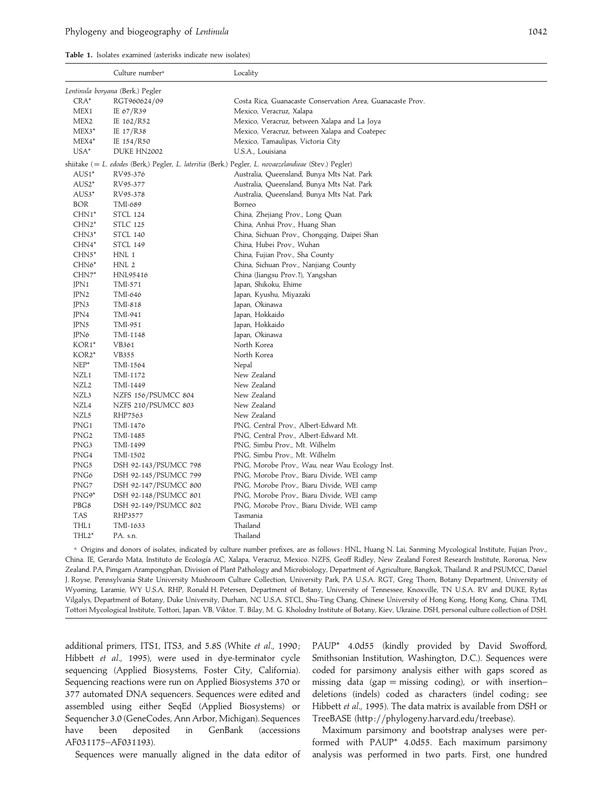**Table 1.** Isolates examined (asterisks indicate new isolates)

|                    | Culture number <sup>a</sup>      | Locality                                                                                              |
|--------------------|----------------------------------|-------------------------------------------------------------------------------------------------------|
|                    | Lentinula boryana (Berk.) Pegler |                                                                                                       |
| $CRA*$             | RGT960624/09                     | Costa Rica, Guanacaste Conservation Area, Guanacaste Prov.                                            |
| MEX1               | IE 67/R39                        | Mexico, Veracruz, Xalapa                                                                              |
| MEX2               | IE 162/R52                       | Mexico, Veracruz, between Xalapa and La Joya                                                          |
| $MEX3*$            | IE 17/R38                        | Mexico, Veracruz, between Xalapa and Coatepec                                                         |
| $MEX4*$            | IE 154/R50                       | Mexico, Tamaulipas, Victoria City                                                                     |
| USA <sup>*</sup>   | DUKE HN2002                      | U.S.A., Louisiana                                                                                     |
|                    |                                  | shiitake (= L. edodes (Berk.) Pegler, L. lateritia (Berk.) Pegler, L. novaezelandieae (Stev.) Pegler) |
| AUS1*              | RV95-376                         | Australia, Queensland, Bunya Mts Nat. Park                                                            |
| AUS <sub>2</sub> * | RV95-377                         | Australia, Queensland, Bunya Mts Nat. Park                                                            |
| AUS <sub>3</sub> * | RV95-378                         | Australia, Queensland, Bunya Mts Nat. Park                                                            |
| <b>BOR</b>         | TMI-689                          | Borneo                                                                                                |
| CHN1*              | <b>STCL 124</b>                  | China, Zhejiang Prov., Long Quan                                                                      |
| $CHN2*$            | <b>STLC 125</b>                  | China, Anhui Prov., Huang Shan                                                                        |
| $CHN3*$            | <b>STCL 140</b>                  | China, Sichuan Prov., Chongqing, Daipei Shan                                                          |
| $CHN4*$            | <b>STCL 149</b>                  | China, Hubei Prov., Wuhan                                                                             |
| $CHN5*$            | HNL 1                            | China, Fujian Prov., Sha County                                                                       |
| CHN6*              | HNL 2                            | China, Sichuan Prov., Nanjiang County                                                                 |
| $CHN7*$            | HNL95416                         | China (Jiangsu Prov.?), Yangshan                                                                      |
| JPN1               | TMI-571                          | Japan, Shikoku, Ehime                                                                                 |
| JPN <sub>2</sub>   | TMI-646                          | Japan, Kyushu, Miyazaki                                                                               |
| JPN3               | TMI-818                          | Japan, Okinawa                                                                                        |
| JPN4               | TMI-941                          | Japan, Hokkaido                                                                                       |
| JPN5               | TMI-951                          | Japan, Hokkaido                                                                                       |
| JPN6               | TMI-1148                         | Japan, Okinawa                                                                                        |
| KOR1*              | VB361                            | North Korea                                                                                           |
| KOR2*              | <b>VB355</b>                     | North Korea                                                                                           |
| $NEP^*$            | TMI-1564                         | Nepal                                                                                                 |
| NZL1               | TMI-1172                         | New Zealand                                                                                           |
| NZL <sub>2</sub>   | TMI-1449                         | New Zealand                                                                                           |
| NZL3               | NZFS 156/PSUMCC 804              | New Zealand                                                                                           |
| NZL4               | NZFS 210/PSUMCC 803              | New Zealand                                                                                           |
| NZL5               | RHP7563                          | New Zealand                                                                                           |
| PNG1               | TMI-1476                         | PNG, Central Prov., Albert-Edward Mt.                                                                 |
| PNG <sub>2</sub>   | TMI-1485                         | PNG, Central Prov., Albert-Edward Mt.                                                                 |
| PNG3               | TMI-1499                         | PNG, Simbu Prov., Mt. Wilhelm                                                                         |
| PNG4               | TMI-1502                         | PNG, Simbu Prov., Mt. Wilhelm                                                                         |
| PNG5               | DSH 92-143/PSUMCC 798            | PNG, Morobe Prov., Wau, near Wau Ecology Inst.                                                        |
| PNG6               | DSH 92-145/PSUMCC 799            | PNG, Morobe Prov., Biaru Divide, WEI camp                                                             |
| PNG7               | DSH 92-147/PSUMCC 800            | PNG, Morobe Prov., Biaru Divide, WEI camp                                                             |
| PNG9*              | DSH 92-148/PSUMCC 801            | PNG, Morobe Prov., Biaru Divide, WEI camp                                                             |
| PBG8               | DSH 92-149/PSUMCC 802            | PNG, Morobe Prov., Biaru Divide, WEI camp                                                             |
| TAS                | RHP3577                          | Tasmania                                                                                              |
| THL1               | TMI-1633                         | Thailand                                                                                              |
| THL <sub>2</sub> * | PA. s.n.                         | Thailand                                                                                              |

<sup>a</sup> Origins and donors of isolates, indicated by culture number prefixes, are as follows: HNL, Huang N. Lai, Sanming Mycological Institute, Fujian Prov., China. IE, Gerardo Mata, Instituto de Ecología AC, Xalapa, Veracruz, Mexico. NZFS, Geoff Ridley, New Zealand Forest Research Institute, Rororua, New Zealand. PA, Pimgarn Arampongphan, Division of Plant Pathology and Microbiology, Department of Agriculture, Bangkok, Thailand. R and PSUMCC, Daniel J. Royse, Pennsylvania State University Mushroom Culture Collection, University Park, PA U.S.A. RGT, Greg Thorn, Botany Department, University of Wyoming, Laramie, WY U.S.A. RHP, Ronald H. Petersen, Department of Botany, University of Tennessee, Knoxville, TN U.S.A. RV and DUKE, Rytas Vilgalys, Department of Botany, Duke University, Durham, NC U.S.A. STCL, Shu-Ting Chang, Chinese University of Hong Kong, Hong Kong, China. TMI, Tottori Mycological Institute, Tottori, Japan. VB, Viktor. T. Bilay, M. G. Kholodny Institute of Botany, Kiev, Ukraine. DSH, personal culture collection of DSH.

additional primers, ITS1, ITS3, and 5.8S (White *et al*., 1990 ; Hibbett *et al*., 1995), were used in dye-terminator cycle sequencing (Applied Biosystems, Foster City, California). Sequencing reactions were run on Applied Biosystems 370 or 377 automated DNA sequencers. Sequences were edited and assembled using either SeqEd (Applied Biosystems) or Sequencher 3.0 (GeneCodes, Ann Arbor, Michigan). Sequences have been deposited in GenBank (accessions AF031175–AF031193).

Sequences were manually aligned in the data editor of

PAUP\* 4.0d55 (kindly provided by David Swofford, Smithsonian Institution, Washington, D.C.). Sequences were coded for parsimony analysis either with gaps scored as missing data (gap = missing coding), or with insertion– deletions (indels) coded as characters (indel coding; see Hibbett *et al*., 1995). The data matrix is available from DSH or TreeBASE (http://phylogeny.harvard.edu/treebase).

Maximum parsimony and bootstrap analyses were performed with PAUP\* 4.0d55. Each maximum parsimony analysis was performed in two parts. First, one hundred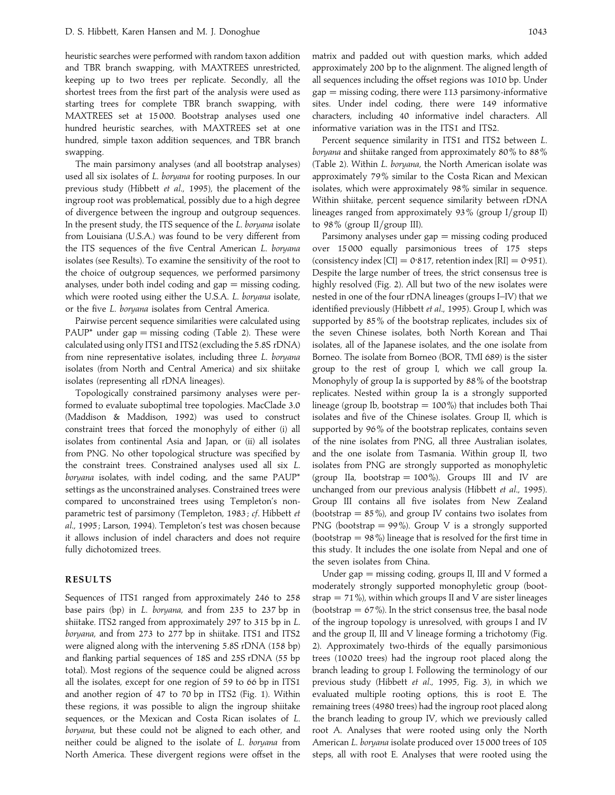heuristic searches were performed with random taxon addition and TBR branch swapping, with MAXTREES unrestricted, keeping up to two trees per replicate. Secondly, all the shortest trees from the first part of the analysis were used as starting trees for complete TBR branch swapping, with MAXTREES set at 15000. Bootstrap analyses used one hundred heuristic searches, with MAXTREES set at one hundred, simple taxon addition sequences, and TBR branch swapping.

The main parsimony analyses (and all bootstrap analyses) used all six isolates of *L*. *boryana* for rooting purposes. In our previous study (Hibbett *et al*., 1995), the placement of the ingroup root was problematical, possibly due to a high degree of divergence between the ingroup and outgroup sequences. In the present study, the ITS sequence of the *L*. *boryana* isolate from Louisiana (U.S.A.) was found to be very different from the ITS sequences of the five Central American *L*. *boryana* isolates (see Results). To examine the sensitivity of the root to the choice of outgroup sequences, we performed parsimony analyses, under both indel coding and  $gap =$  missing coding, which were rooted using either the U.S.A. *L*. *boryana* isolate, or the five *L*. *boryana* isolates from Central America.

Pairwise percent sequence similarities were calculated using PAUP\* under gap  $=$  missing coding (Table 2). These were calculated using only ITS1 and ITS2 (excluding the 5.8S rDNA) from nine representative isolates, including three *L*. *boryana* isolates (from North and Central America) and six shiitake isolates (representing all rDNA lineages).

Topologically constrained parsimony analyses were performed to evaluate suboptimal tree topologies. MacClade 3.0 (Maddison & Maddison, 1992) was used to construct constraint trees that forced the monophyly of either (i) all isolates from continental Asia and Japan, or (ii) all isolates from PNG. No other topological structure was specified by the constraint trees. Constrained analyses used all six *L*. *boryana* isolates, with indel coding, and the same PAUP\* settings as the unconstrained analyses. Constrained trees were compared to unconstrained trees using Templeton's nonparametric test of parsimony (Templeton, 1983 ; *cf*. Hibbett *et al*., 1995 ; Larson, 1994). Templeton's test was chosen because it allows inclusion of indel characters and does not require fully dichotomized trees.

#### **RESULTS**

Sequences of ITS1 ranged from approximately 246 to 258 base pairs (bp) in *L*. *boryana*, and from 235 to 237 bp in shiitake. ITS2 ranged from approximately 297 to 315 bp in *L*. *boryana*, and from 273 to 277 bp in shiitake. ITS1 and ITS2 were aligned along with the intervening 5.8S rDNA (158 bp) and flanking partial sequences of 18S and 25S rDNA (55 bp total). Most regions of the sequence could be aligned across all the isolates, except for one region of 59 to 66 bp in ITS1 and another region of 47 to 70 bp in ITS2 (Fig. 1). Within these regions, it was possible to align the ingroup shiitake sequences, or the Mexican and Costa Rican isolates of *L*. *boryana*, but these could not be aligned to each other, and neither could be aligned to the isolate of *L*. *boryana* from North America. These divergent regions were offset in the matrix and padded out with question marks, which added approximately 200 bp to the alignment. The aligned length of all sequences including the offset regions was 1010 bp. Under  $gap = missing coding$ , there were 113 parsimony-informative sites. Under indel coding, there were 149 informative characters, including 40 informative indel characters. All informative variation was in the ITS1 and ITS2.

Percent sequence similarity in ITS1 and ITS2 between *L*. *boryana* and shiitake ranged from approximately 80% to 88% (Table 2). Within *L*. *boryana*, the North American isolate was approximately 79% similar to the Costa Rican and Mexican isolates, which were approximately 98% similar in sequence. Within shiitake, percent sequence similarity between rDNA lineages ranged from approximately  $93\%$  (group I/group II) to 98% (group II/group III).

Parsimony analyses under  $gap =$  missing coding produced over 15000 equally parsimonious trees of 175 steps (consistency index [CI] =  $0.817$ , retention index [RI] =  $0.951$ ). Despite the large number of trees, the strict consensus tree is highly resolved (Fig. 2). All but two of the new isolates were nested in one of the four rDNA lineages (groups I–IV) that we identified previously (Hibbett *et al*., 1995). Group I, which was supported by 85% of the bootstrap replicates, includes six of the seven Chinese isolates, both North Korean and Thai isolates, all of the Japanese isolates, and the one isolate from Borneo. The isolate from Borneo (BOR, TMI 689) is the sister group to the rest of group I, which we call group Ia. Monophyly of group Ia is supported by 88% of the bootstrap replicates. Nested within group Ia is a strongly supported lineage (group Ib, bootstrap  $=100\%$ ) that includes both Thai isolates and five of the Chinese isolates. Group II, which is supported by 96% of the bootstrap replicates, contains seven of the nine isolates from PNG, all three Australian isolates, and the one isolate from Tasmania. Within group II, two isolates from PNG are strongly supported as monophyletic (group IIa, bootstrap =  $100\%$ ). Groups III and IV are unchanged from our previous analysis (Hibbett *et al*., 1995). Group III contains all five isolates from New Zealand (bootstrap =  $85\%$ ), and group IV contains two isolates from PNG (bootstrap = 99%). Group V is a strongly supported (bootstrap  $= 98\%$ ) lineage that is resolved for the first time in this study. It includes the one isolate from Nepal and one of the seven isolates from China.

Under  $gap = missing coding$ , groups II, III and V formed a moderately strongly supported monophyletic group (bootstrap =  $71\%$ ), within which groups II and V are sister lineages (bootstrap  $=67\%$ ). In the strict consensus tree, the basal node of the ingroup topology is unresolved, with groups I and IV and the group II, III and V lineage forming a trichotomy (Fig. 2). Approximately two-thirds of the equally parsimonious trees (10020 trees) had the ingroup root placed along the branch leading to group I. Following the terminology of our previous study (Hibbett *et al*., 1995, Fig. 3), in which we evaluated multiple rooting options, this is root E. The remaining trees (4980 trees) had the ingroup root placed along the branch leading to group IV, which we previously called root A. Analyses that were rooted using only the North American *L*. *boryana* isolate produced over 15000 trees of 105 steps, all with root E. Analyses that were rooted using the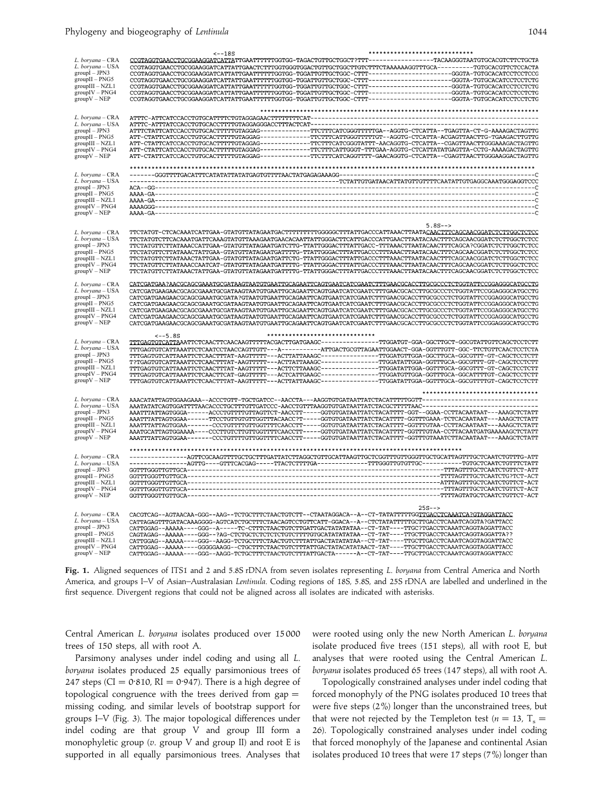#### Phylogeny and biogeography of *Lentinula* 1044

|                                                                                                                                                       | ****************************                                                                                                                                                                                                                                                                                                                                                                                                                                                                                                                                                                                                                                                                                                                                                                                                                                                            |
|-------------------------------------------------------------------------------------------------------------------------------------------------------|-----------------------------------------------------------------------------------------------------------------------------------------------------------------------------------------------------------------------------------------------------------------------------------------------------------------------------------------------------------------------------------------------------------------------------------------------------------------------------------------------------------------------------------------------------------------------------------------------------------------------------------------------------------------------------------------------------------------------------------------------------------------------------------------------------------------------------------------------------------------------------------------|
| L. boryana - CRA<br>L. borvana - USA                                                                                                                  | $- -18S$<br>CCGTAGGTGAACCTGCGGAAGGATCATTATTGAATTTTTTGGTGG-TAGACTGTTGCTGGCT?TTT-----------------TACAAGGGTAATGTGCACGTCTTCTGCTA                                                                                                                                                                                                                                                                                                                                                                                                                                                                                                                                                                                                                                                                                                                                                            |
| $groupI - JPN3$<br>$groupII - PNG5$<br>$groupIII - NZL1$                                                                                              |                                                                                                                                                                                                                                                                                                                                                                                                                                                                                                                                                                                                                                                                                                                                                                                                                                                                                         |
| $groupIV - PNG4$<br>$groupV - NEP$                                                                                                                    |                                                                                                                                                                                                                                                                                                                                                                                                                                                                                                                                                                                                                                                                                                                                                                                                                                                                                         |
| L. boryana - CRA                                                                                                                                      |                                                                                                                                                                                                                                                                                                                                                                                                                                                                                                                                                                                                                                                                                                                                                                                                                                                                                         |
| L. boryana - USA<br>$groupI - JPN3$                                                                                                                   |                                                                                                                                                                                                                                                                                                                                                                                                                                                                                                                                                                                                                                                                                                                                                                                                                                                                                         |
| $groupII - PNG5$<br>$groupIII - NZL1$<br>$groupIV - PNG4$<br>$groupV - NEP$                                                                           | AIT-CIATICALCOLOGICAL III III III-MAASAG---------------TICITTCAITGGGTATTI-JAACAGGTG-CICATIA--CGAGTTAACTIGGAAAG<br>ATT-CTATTCAITCAICCACCTGTGCACTTTTTGTAGGAG--------------TTCTTTCAITGGGTATTT-AACAGGTG-CICATTA--CGAGTTAACTIGGGAAAGAC                                                                                                                                                                                                                                                                                                                                                                                                                                                                                                                                                                                                                                                       |
| L. boryana - CRA                                                                                                                                      |                                                                                                                                                                                                                                                                                                                                                                                                                                                                                                                                                                                                                                                                                                                                                                                                                                                                                         |
| L. boryana - USA<br>$groupI - JPN3$                                                                                                                   |                                                                                                                                                                                                                                                                                                                                                                                                                                                                                                                                                                                                                                                                                                                                                                                                                                                                                         |
| $groupII - PNG5$                                                                                                                                      |                                                                                                                                                                                                                                                                                                                                                                                                                                                                                                                                                                                                                                                                                                                                                                                                                                                                                         |
| $groupIII - NZL1$<br>$groupIV - PNG4$                                                                                                                 |                                                                                                                                                                                                                                                                                                                                                                                                                                                                                                                                                                                                                                                                                                                                                                                                                                                                                         |
| $\angle$ group $V - NEP$                                                                                                                              |                                                                                                                                                                                                                                                                                                                                                                                                                                                                                                                                                                                                                                                                                                                                                                                                                                                                                         |
| L. borvana - CRA<br>L. boryana - USA<br>$groupI - JPN3$<br>$groupII - PNG5$<br>$groupIII - NZL1$<br>$groupIV - PNG4$<br>$\frac{1}{2}$ group $V - NEP$ | $5.8S--$<br>TTCTATGT-CTCACAAATCATTGAA-GTATGTTATAGAATGACTTTTTTTTTGGGGGCTTTATTGACCCATTAAACTTAATACAACTTTCAGCAACGGATCTCTTGGCTCTCC<br>TTCTATGTCTTCACAAATGATTCAAAGTATGTTAAAGAATGAACACAATTATTGGGACTTCATTGACCCATTGAACTTAATACAACTTTCAGCAACGGATCTCTTGGCTCTCC<br>TTCTATGTTCTTATAAACCATTGAA-GTATGTTATAGAATGATCTTG-TTATTGGGACTTTATTGACC-TTTAAACTTAATACAACTTTCAGCA?CGGATCTCTTGGCTCTCC<br>TTCTATGTTCTTATAAACTATTGAA-GTATGTTATAGAATGATTTTG-TTATTGGGACTTTATTGACCCTTTAAACTTAATACAACTTTCAGCAACGGATCTCTTGGCTCT<br>TTCTATGTTCTTATAAACTATTGAA-GTATGTTATAGAATGATTCTG-TTATTGGGACTTTATTGACCCTTTAAACTTAATACAACTTTCAGCAACGGATCTCTTGGCTCTC<br>TTCTATGTTCTTATAAACCAATCAT-GTATGTTATAGAATGATTTTG-TTATTGGGACTTTATTGACCCTTTAAACTTAATACAACTTTCAGCAACGGATCTCTTGGCTCTCC<br>TTCTATGTTCTTATAAACTATTGAA-GTATGTTATAGAATGATTTTG-TTATTGGGACTTTATTGACCCTTTAAACTTAATACAACTTTCAGCAACGGATCTCTTGGCTCTCC                                |
| L. boryana - CRA<br>L. boryana - USA<br>$groupI - JPN3$<br>$groupII - PNG5$<br>$groupIII - NZL1$<br>$groupIV - PNG4$<br>$groupV - NEP$                | CATCGATGAA?AACGCAGCGAAATGCGATAAGTAATGTGAATTGCAGAATTCAGTGAATCATCGAATCTTTGAACGCACCTTGCGCCCTCTGGTATTCCGGAGGGCATGCCTG<br>CATCGATGAAGAACGCAGCGAAATGCGATAAGTAATGTGAATTGCAGAATTCAGTGAATCATCGAATCTTTGAACGCACCTTGCGCCCTCTGGTATTCCGGAGGGCATGCCTG<br>CATCGATGAAGAACGCAGCGAAATGCGATA?GTAATGTGAATTGCAGAATTCAGTGAATCATCGAATCTTTGAACGCACCTTGCGCCCTCTGGTATTCCGGAGGGCATGCCTG<br>$\verb CATCGATGAAGAAGGACGGAATGGGATAATGCTGATTGGAAATGCAATCAATCTGAATCTTTGAACGCCTTGGGCCTCTGGGATTCCGGAGGGCATGCCTG$<br>CATCGATGAAGAACGCAGCGAAATGCGATAAGTAATGTGAATTGCAGAATTCAGTGAATCATCGAATCTTTGAACGCACCTTGCGCCCTCTGGTATTCCGGAGGGCATGCCTG<br>$\verb CATCGATGAAGAACGCAGCGAAATGGGATAAGTAAATGTGAATTGAGAATTTCAGTGAATCTATCGAATCTTTGAACGCACCTTGGGCCCTCTGGTATTCCGGAGGGCATGCTTG$<br>CATCGATGAAGAACGCAGCGAAATGCGATAAGTAATGTGAATTGCAGAATTCAGTGAATCATCGAATCTTTGAACGCACCTTGCGCCCTCTGGTATTCCGGAGGGCATGCCTG<br>****************************** |
| L. boryana - CRA                                                                                                                                      | $< -5.8S$                                                                                                                                                                                                                                                                                                                                                                                                                                                                                                                                                                                                                                                                                                                                                                                                                                                                               |
| L. boryana - USA<br>$groupI - JPN3$<br>$groupII - PNG5$                                                                                               | TTTGAGTGTCATTAAATTCTCAATCCTAACCAGTTGTT---A---------ATTGACTGCGTTAGAATTGGAACT-GGA-GGTTTGTT-GGC-TTCTGTTCAACTCCTCTA                                                                                                                                                                                                                                                                                                                                                                                                                                                                                                                                                                                                                                                                                                                                                                         |
| $groupIII - NZL1$<br>$groupIV - PNG4$<br>$\frac{1}{2}$ group $V - NEP$                                                                                | $\begin{smallmatrix}111333101011 & 1124310101 & 1124310101 & 1124310101 & 11243101 & 11243101 & 11243101 & 11243101 & 11243101 & 11243101 & 11243101 & 11243101 & 11243101 & 11243101 & 1124310 & 1124310 & 1124310 & 1124310 & 1124310 & 1124310 & 1124310 & 1$                                                                                                                                                                                                                                                                                                                                                                                                                                                                                                                                                                                                                        |
| L. boryana - CRA                                                                                                                                      | ********************************                                                                                                                                                                                                                                                                                                                                                                                                                                                                                                                                                                                                                                                                                                                                                                                                                                                        |
| L. borvana - USA<br>$groupI - JPN3$<br>$groupII - PNG5$<br>groupIII - NZL1<br>$groupIV - PNG4$<br>$\frac{1}{2}$ roup $V - NEP$                        | AAATTTATTAGTGGGA------ACCCTGTTTTGTTAGTTCT-AACCTT-----GGTGTGATAATTATCTACATTTT-GGT--GGAA-CCTTACAATAAT---AAAGCTCTATT<br>AAATTTATTAGTGGAA------TTCCTGTTGTGTTGGTTTACAACC?T-----GGTGTGATAATTATCTACATTTT-GGTTTGAAA-TCTCACAATAAT---AAAGCTCTATT<br>${\small \begin{tabular}{l} \bf{AAATT} \bf{717} \bf{747} \bf{757} \bf{767} \bf{788} \bf{799} \bf{799} \bf{799} \bf{799} \bf{799} \bf{799} \bf{799} \bf{799} \bf{799} \bf{799} \bf{799} \bf{799} \bf{799} \bf{799} \bf{799} \bf{799} \bf{799} \bf{799} \bf{799} \bf{799} \bf{799} \bf{799} \bf{799} \bf{799}$                                                                                                                                                                                                                                                                                                                                  |
|                                                                                                                                                       | --------------AGTTCGCAAGTTTTGCTGCTTTGATTATCTTAGGCTGTTGCATTAAGTTGCTCGGTTTGTTGGGTTGCTGCATTAGTTTGCTCAATCTGTTTG-ATT                                                                                                                                                                                                                                                                                                                                                                                                                                                                                                                                                                                                                                                                                                                                                                         |
| L. boryana - CRA<br>L. boryana - USA                                                                                                                  |                                                                                                                                                                                                                                                                                                                                                                                                                                                                                                                                                                                                                                                                                                                                                                                                                                                                                         |
| $groupI - JPN3$<br>$groupII - PNG5$                                                                                                                   |                                                                                                                                                                                                                                                                                                                                                                                                                                                                                                                                                                                                                                                                                                                                                                                                                                                                                         |
| $groupIII - NZL1$<br>$\text{group} \text{IV} - \text{PNG4}$<br>$\text{group}V - \text{NEP}$                                                           |                                                                                                                                                                                                                                                                                                                                                                                                                                                                                                                                                                                                                                                                                                                                                                                                                                                                                         |
|                                                                                                                                                       | $25S--$                                                                                                                                                                                                                                                                                                                                                                                                                                                                                                                                                                                                                                                                                                                                                                                                                                                                                 |
| L. boryana - CRA<br>L. boryana - USA                                                                                                                  | CACGTCAG--AGTAACAA-GGG--AAG--TCTGCTTTCTAACTGTCTT--CTAATAGGACA--A--CT-TATATTTTTGGTTGACCTCAAATCA?GTAGGATTACC                                                                                                                                                                                                                                                                                                                                                                                                                                                                                                                                                                                                                                                                                                                                                                              |
| $groupI - JPN3$                                                                                                                                       | CATTAGAGTTTGATACAAAGGGG-AGTCATCTGCTTTCTAACAGTCCTGTTCATT-GGACA--A--CTCTATATTTTTGCTTGACCTCAAATCAGGTA?GATTACC<br>CATTGGAG--AAAAA----GGG--A-----TC-CTTTCTAACTGTCTTGATTGACTATATATAA--CT-TAT----TTGC?TGACCTCAAATCAGGTAGGATTACC                                                                                                                                                                                                                                                                                                                                                                                                                                                                                                                                                                                                                                                                |
| $groupII - PNG5$<br>$groupIII - NZL1$                                                                                                                 | CAGTAGAG--AAAAA----GGG--?AG-CTCTGCTCTCTCTCTGTCTTTTGTGCATATATATAA--CT-TAT----TTGCTTGACCTCAAATCAGGTAGGATTA??<br>CATTGGAG--AAAAA----GGG--AAGG-TCTGCTTTCTAACTGTCTTTATTGACTATATATAA--CT-TAT----TTGCTTGACCTCAAATCAGGTAGGATTACC                                                                                                                                                                                                                                                                                                                                                                                                                                                                                                                                                                                                                                                                |
| $groupIV - PNG4$<br>$groupV - NEP$                                                                                                                    | CATTGGAG--AAAAA----GGGGGAAGG--CTGCTTTCTAACTGTCTTTATTGACTATACATATAACT-TAT----TTGCTTGACCTCAAATCAGGTAGGATTACC<br>CATTGGAG--AAAAA----GGG--AAGG-TCTGCTTTCTAACTGTCTTTATTGACTA------A--CT-TAT----TTGCTTGACCTCAAATCAGGTAGGATTACC                                                                                                                                                                                                                                                                                                                                                                                                                                                                                                                                                                                                                                                                |
|                                                                                                                                                       |                                                                                                                                                                                                                                                                                                                                                                                                                                                                                                                                                                                                                                                                                                                                                                                                                                                                                         |

**Fig. 1.** Aligned sequences of ITS1 and 2 and 5.8S rDNA from seven isolates representing *L*. *boryana* from Central America and North America, and groups I–V of Asian–Australasian *Lentinula*. Coding regions of 18S, 5.8S, and 25S rDNA are labelled and underlined in the first sequence. Divergent regions that could not be aligned across all isolates are indicated with asterisks.

Central American *L*. *boryana* isolates produced over 15000 trees of 150 steps, all with root A.

Parsimony analyses under indel coding and using all *L*. *boryana* isolates produced 25 equally parsimonious trees of 247 steps (CI = 0.810, RI = 0.947). There is a high degree of topological congruence with the trees derived from gap  $=$ missing coding, and similar levels of bootstrap support for groups I–V (Fig. 3). The major topological differences under indel coding are that group V and group III form a monophyletic group (*v*. group V and group II) and root E is supported in all equally parsimonious trees. Analyses that

were rooted using only the new North American *L*. *boryana* isolate produced five trees (151 steps), all with root E, but analyses that were rooted using the Central American *L*. *boryana* isolates produced 65 trees (147 steps), all with root A.

Topologically constrained analyses under indel coding that forced monophyly of the PNG isolates produced 10 trees that were five steps (2%) longer than the unconstrained trees, but that were not rejected by the Templeton test ( $n = 13$ , T<sub>s</sub> = 26). Topologically constrained analyses under indel coding that forced monophyly of the Japanese and continental Asian isolates produced 10 trees that were 17 steps (7%) longer than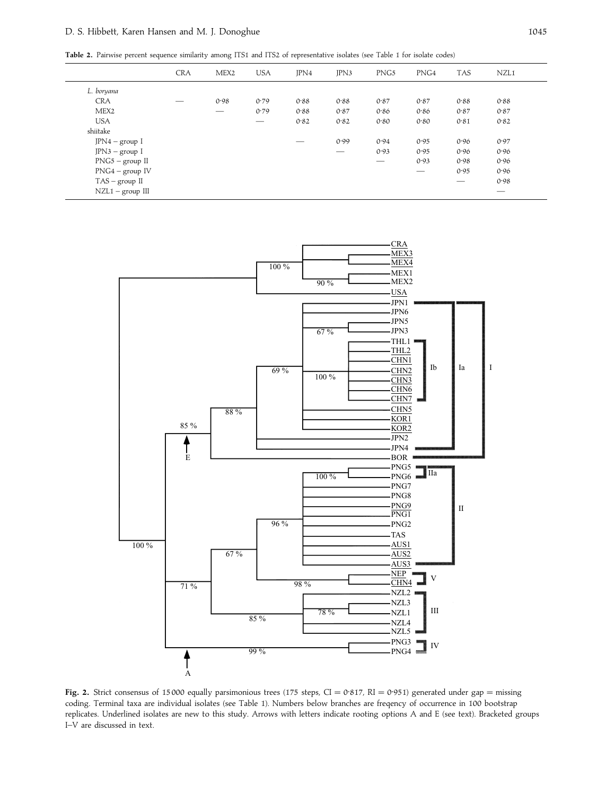**Table 2.** Pairwise percent sequence similarity among ITS1 and ITS2 of representative isolates (see Table 1 for isolate codes)

|                    | <b>CRA</b> | MEX <sub>2</sub> | <b>USA</b> | JPN4 | IPN3 | PNG5 | PNG4                     | <b>TAS</b> | NZL1 |  |
|--------------------|------------|------------------|------------|------|------|------|--------------------------|------------|------|--|
| L. boryana         |            |                  |            |      |      |      |                          |            |      |  |
| <b>CRA</b>         |            | 0.98             | 0.79       | 0.88 | 0.88 | 0.87 | 0.87                     | 0.88       | 0.88 |  |
| MEX <sub>2</sub>   |            |                  | 0.79       | 0.88 | 0.87 | 0.86 | 0.86                     | 0.87       | 0.87 |  |
| <b>USA</b>         |            |                  |            | 0.82 | 0.82 | 0.80 | 0.80                     | 0.81       | 0.82 |  |
| shiitake           |            |                  |            |      |      |      |                          |            |      |  |
| $JPN4 - group I$   |            |                  |            |      | 0.99 | 0.94 | 0.95                     | 0.96       | 0.97 |  |
| $JPN3 - group I$   |            |                  |            |      |      | 0.93 | 0.95                     | 0.96       | 0.96 |  |
| $PNG5 - group II$  |            |                  |            |      |      |      | 0.93                     | 0.98       | 0.96 |  |
| $PNG4 - group IV$  |            |                  |            |      |      |      | $\overline{\phantom{m}}$ | 0.95       | 0.96 |  |
| $TAS - group II$   |            |                  |            |      |      |      |                          |            | 0.98 |  |
| $NZL1 - group III$ |            |                  |            |      |      |      |                          |            |      |  |



Fig. 2. Strict consensus of 15000 equally parsimonious trees (175 steps, CI =  $0.817$ , RI =  $0.951$ ) generated under gap = missing coding. Terminal taxa are individual isolates (see Table 1). Numbers below branches are freqency of occurrence in 100 bootstrap replicates. Underlined isolates are new to this study. Arrows with letters indicate rooting options A and E (see text). Bracketed groups I–V are discussed in text.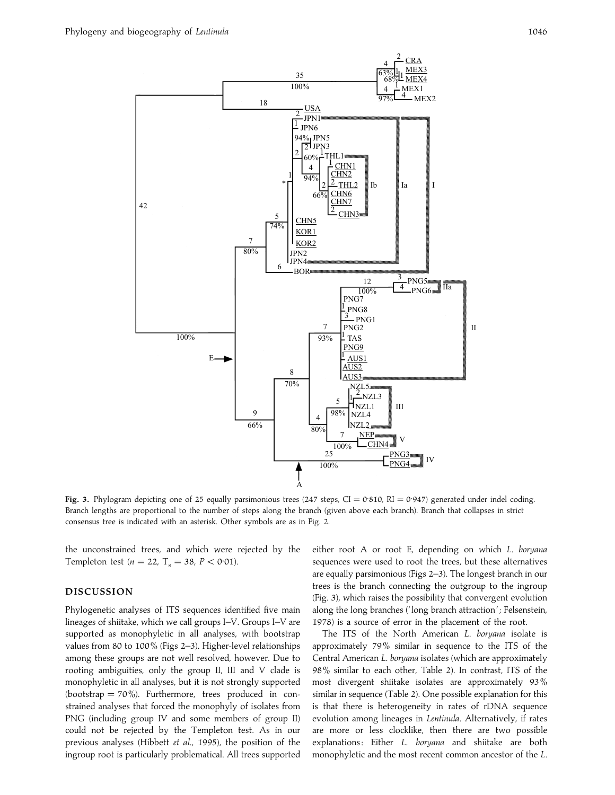

**Fig. 3.** Phylogram depicting one of 25 equally parsimonious trees (247 steps, CI = 0.810, RI = 0.947) generated under indel coding. Branch lengths are proportional to the number of steps along the branch (given above each branch). Branch that collapses in strict consensus tree is indicated with an asterisk. Other symbols are as in Fig. 2.

the unconstrained trees, and which were rejected by the Templeton test (*n* = 22, T<sub>s</sub> = 38, *P* < 0.01).

# **DISCUSSION**

Phylogenetic analyses of ITS sequences identified five main lineages of shiitake, which we call groups I–V. Groups I–V are supported as monophyletic in all analyses, with bootstrap values from 80 to 100% (Figs 2–3). Higher-level relationships among these groups are not well resolved, however. Due to rooting ambiguities, only the group II, III and V clade is monophyletic in all analyses, but it is not strongly supported (bootstrap =  $70\%$ ). Furthermore, trees produced in constrained analyses that forced the monophyly of isolates from PNG (including group IV and some members of group II) could not be rejected by the Templeton test. As in our previous analyses (Hibbett *et al*., 1995), the position of the ingroup root is particularly problematical. All trees supported

either root A or root E, depending on which *L*. *boryana* sequences were used to root the trees, but these alternatives are equally parsimonious (Figs 2–3). The longest branch in our trees is the branch connecting the outgroup to the ingroup (Fig. 3), which raises the possibility that convergent evolution along the long branches ('long branch attraction'; Felsenstein, 1978) is a source of error in the placement of the root.

The ITS of the North American *L*. *boryana* isolate is approximately 79% similar in sequence to the ITS of the Central American *L*. *boryana* isolates (which are approximately 98% similar to each other, Table 2). In contrast, ITS of the most divergent shiitake isolates are approximately 93% similar in sequence (Table 2). One possible explanation for this is that there is heterogeneity in rates of rDNA sequence evolution among lineages in *Lentinula*. Alternatively, if rates are more or less clocklike, then there are two possible explanations: Either *L. boryana* and shiitake are both monophyletic and the most recent common ancestor of the *L*.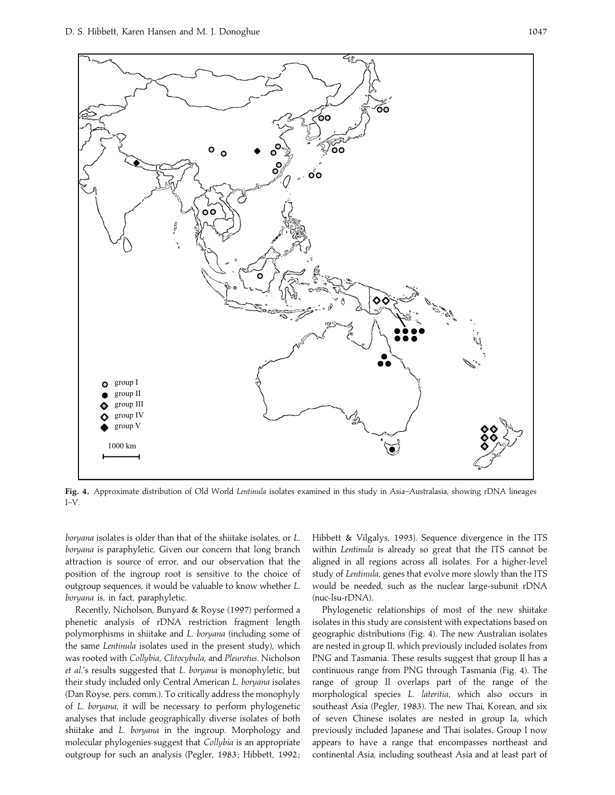

**Fig. 4.** Approximate distribution of Old World *Lentinula* isolates examined in this study in Asia–Australasia, showing rDNA lineages I–V.

*boryana* isolates is older than that of the shiitake isolates, or *L*. *boryana* is paraphyletic. Given our concern that long branch attraction is source of error, and our observation that the position of the ingroup root is sensitive to the choice of outgroup sequences, it would be valuable to know whether *L*. *boryana* is, in fact, paraphyletic.

Recently, Nicholson, Bunyard & Royse (1997) performed a phenetic analysis of rDNA restriction fragment length polymorphisms in shiitake and *L*. *boryana* (including some of the same *Lentinula* isolates used in the present study), which was rooted with *Collybia*, *Clitocybula*, and *Pleurotus*. Nicholson *et al*.'s results suggested that *L*. *boryana* is monophyletic, but their study included only Central American *L*. *boryana* isolates (Dan Royse, pers. comm.). To critically address the monophyly of *L*. *boryana*, it will be necessary to perform phylogenetic analyses that include geographically diverse isolates of both shiitake and *L*. *boryana* in the ingroup. Morphology and molecular phylogenies suggest that *Collybia* is an appropriate outgroup for such an analysis (Pegler, 1983; Hibbett, 1992; Hibbett & Vilgalys, 1993). Sequence divergence in the ITS within *Lentinula* is already so great that the ITS cannot be aligned in all regions across all isolates. For a higher-level study of *Lentinula*, genes that evolve more slowly than the ITS would be needed, such as the nuclear large-subunit rDNA (nuc-lsu-rDNA).

Phylogenetic relationships of most of the new shiitake isolates in this study are consistent with expectations based on geographic distributions (Fig. 4). The new Australian isolates are nested in group II, which previously included isolates from PNG and Tasmania. These results suggest that group II has a continuous range from PNG through Tasmania (Fig. 4). The range of group II overlaps part of the range of the morphological species *L*. *lateritia*, which also occurs in southeast Asia (Pegler, 1983). The new Thai, Korean, and six of seven Chinese isolates are nested in group Ia, which previously included Japanese and Thai isolates. Group I now appears to have a range that encompasses northeast and continental Asia, including southeast Asia and at least part of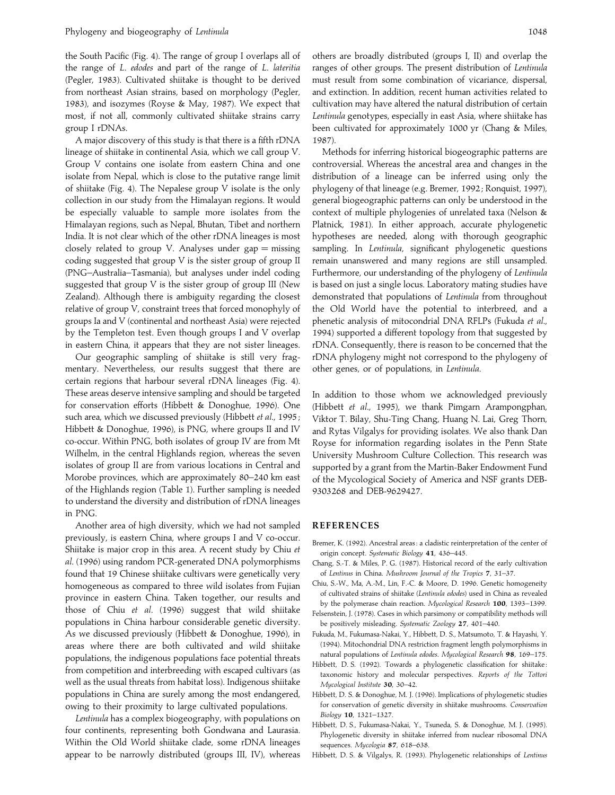the South Pacific (Fig. 4). The range of group I overlaps all of the range of *L*. *edodes* and part of the range of *L*. *lateritia* (Pegler, 1983). Cultivated shiitake is thought to be derived from northeast Asian strains, based on morphology (Pegler, 1983), and isozymes (Royse & May, 1987). We expect that most, if not all, commonly cultivated shiitake strains carry group I rDNAs.

A major discovery of this study is that there is a fifth rDNA lineage of shiitake in continental Asia, which we call group V. Group V contains one isolate from eastern China and one isolate from Nepal, which is close to the putative range limit of shiitake (Fig. 4). The Nepalese group V isolate is the only collection in our study from the Himalayan regions. It would be especially valuable to sample more isolates from the Himalayan regions, such as Nepal, Bhutan, Tibet and northern India. It is not clear which of the other rDNA lineages is most closely related to group V. Analyses under  $gap = missing$ coding suggested that group V is the sister group of group II (PNG–Australia–Tasmania), but analyses under indel coding suggested that group V is the sister group of group III (New Zealand). Although there is ambiguity regarding the closest relative of group V, constraint trees that forced monophyly of groups Ia and V (continental and northeast Asia) were rejected by the Templeton test. Even though groups I and V overlap in eastern China, it appears that they are not sister lineages.

Our geographic sampling of shiitake is still very fragmentary. Nevertheless, our results suggest that there are certain regions that harbour several rDNA lineages (Fig. 4). These areas deserve intensive sampling and should be targeted for conservation efforts (Hibbett & Donoghue, 1996). One such area, which we discussed previously (Hibbett *et al*., 1995 ; Hibbett & Donoghue, 1996), is PNG, where groups II and IV co-occur. Within PNG, both isolates of group IV are from Mt Wilhelm, in the central Highlands region, whereas the seven isolates of group II are from various locations in Central and Morobe provinces, which are approximately 80–240 km east of the Highlands region (Table 1). Further sampling is needed to understand the diversity and distribution of rDNA lineages in PNG.

Another area of high diversity, which we had not sampled previously, is eastern China, where groups I and V co-occur. Shiitake is major crop in this area. A recent study by Chiu *et al*. (1996) using random PCR-generated DNA polymorphisms found that 19 Chinese shiitake cultivars were genetically very homogeneous as compared to three wild isolates from Fujian province in eastern China. Taken together, our results and those of Chiu *et al*. (1996) suggest that wild shiitake populations in China harbour considerable genetic diversity. As we discussed previously (Hibbett & Donoghue, 1996), in areas where there are both cultivated and wild shiitake populations, the indigenous populations face potential threats from competition and interbreeding with escaped cultivars (as well as the usual threats from habitat loss). Indigenous shiitake populations in China are surely among the most endangered, owing to their proximity to large cultivated populations.

*Lentinula* has a complex biogeography, with populations on four continents, representing both Gondwana and Laurasia. Within the Old World shiitake clade, some rDNA lineages appear to be narrowly distributed (groups III, IV), whereas

others are broadly distributed (groups I, II) and overlap the ranges of other groups. The present distribution of *Lentinula* must result from some combination of vicariance, dispersal, and extinction. In addition, recent human activities related to cultivation may have altered the natural distribution of certain *Lentinula* genotypes, especially in east Asia, where shiitake has been cultivated for approximately 1000 yr (Chang & Miles, 1987).

Methods for inferring historical biogeographic patterns are controversial. Whereas the ancestral area and changes in the distribution of a lineage can be inferred using only the phylogeny of that lineage (e.g. Bremer, 1992 ; Ronquist, 1997), general biogeographic patterns can only be understood in the context of multiple phylogenies of unrelated taxa (Nelson & Platnick, 1981). In either approach, accurate phylogenetic hypotheses are needed, along with thorough geographic sampling. In *Lentinula*, significant phylogenetic questions remain unanswered and many regions are still unsampled. Furthermore, our understanding of the phylogeny of *Lentinula* is based on just a single locus. Laboratory mating studies have demonstrated that populations of *Lentinula* from throughout the Old World have the potential to interbreed, and a phenetic analysis of mitocondrial DNA RFLPs (Fukuda *et al*., 1994) supported a different topology from that suggested by rDNA. Consequently, there is reason to be concerned that the rDNA phylogeny might not correspond to the phylogeny of other genes, or of populations, in *Lentinula*.

In addition to those whom we acknowledged previously (Hibbett *et al*., 1995), we thank Pimgarn Arampongphan, Viktor T. Bilay, Shu-Ting Chang, Huang N. Lai, Greg Thorn, and Rytas Vilgalys for providing isolates. We also thank Dan Royse for information regarding isolates in the Penn State University Mushroom Culture Collection. This research was supported by a grant from the Martin-Baker Endowment Fund of the Mycological Society of America and NSF grants DEB-9303268 and DEB-9629427.

### **REFERENCES**

- Bremer, K. (1992). Ancestral areas : a cladistic reinterpretation of the center of origin concept. *Systematic Biology* **41**, 436–445.
- Chang, S.-T. & Miles, P. G. (1987). Historical record of the early cultivation of *Lentinus* in China. *Mushroom Journal of the Tropics* **7**, 31–37.
- Chiu, S.-W., Ma, A.-M., Lin, F.-C. & Moore, D. 1996. Genetic homogeneity of cultivated strains of shiitake (*Lentinula edodes*) used in China as revealed by the polymerase chain reaction. *Mycological Research* **100**, 1393–1399.
- Felsenstein, J. (1978). Cases in which parsimony or compatibility methods will be positively misleading. *Systematic Zoology* **27**, 401–440.
- Fukuda, M., Fukumasa-Nakai, Y., Hibbett, D. S., Matsumoto, T. & Hayashi, Y. (1994). Mitochondrial DNA restriction fragment length polymorphisms in natural populations of *Lentinula edodes*. *Mycological Research* **98**, 169–175.
- Hibbett, D. S. (1992). Towards a phylogenetic classification for shiitake: taxonomic history and molecular perspectives. *Reports of the Tottori Mycological Institute* **30**, 30–42.
- Hibbett, D. S. & Donoghue, M. J. (1996). Implications of phylogenetic studies for conservation of genetic diversity in shiitake mushrooms. *Conservation Biology* **10**, 1321–1327.
- Hibbett, D. S., Fukumasa-Nakai, Y., Tsuneda, S. & Donoghue, M. J. (1995). Phylogenetic diversity in shiitake inferred from nuclear ribosomal DNA sequences. *Mycologia* **87**, 618–638.
- Hibbett, D. S. & Vilgalys, R. (1993). Phylogenetic relationships of *Lentinus*